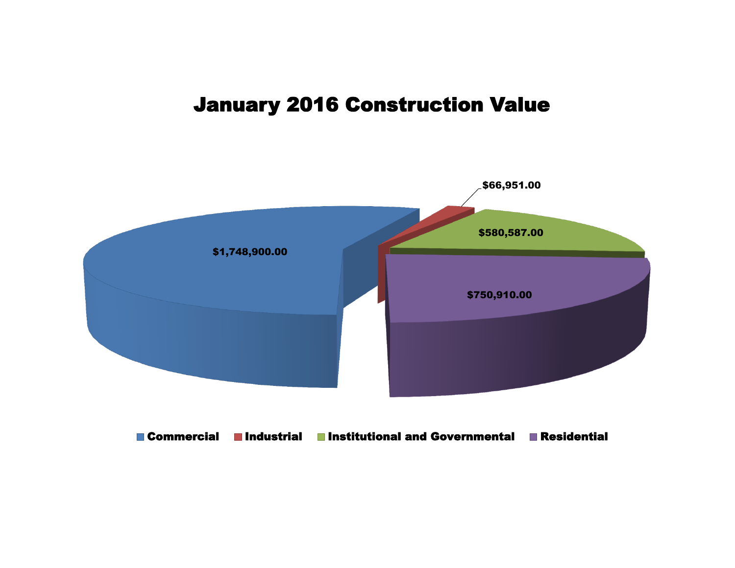## January 2016 Construction Value



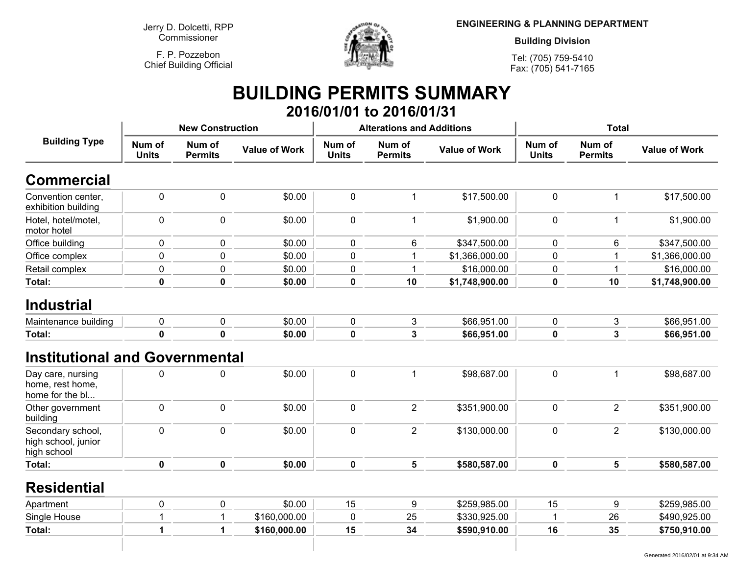**Jerry D. Dolcetti, RPPCommissioner**

**F. P. PozzebonChief Building Official**



**ENGINEERING & PLANNING DEPARTMENT**

**Building Division**

**Tel: (705) 759-5410Fax: (705) 541-7165**

## **BUILDING PERMITS SUMMARY 2016/01/01 to 2016/01/31**

|                                                          | <b>New Construction</b> |                          |                      |                        | <b>Alterations and Additions</b> |                      | <b>Total</b>           |                          |                      |
|----------------------------------------------------------|-------------------------|--------------------------|----------------------|------------------------|----------------------------------|----------------------|------------------------|--------------------------|----------------------|
| <b>Building Type</b>                                     | Num of<br><b>Units</b>  | Num of<br><b>Permits</b> | <b>Value of Work</b> | Num of<br><b>Units</b> | Num of<br><b>Permits</b>         | <b>Value of Work</b> | Num of<br><b>Units</b> | Num of<br><b>Permits</b> | <b>Value of Work</b> |
| <b>Commercial</b>                                        |                         |                          |                      |                        |                                  |                      |                        |                          |                      |
| Convention center,<br>exhibition building                | $\mathbf 0$             | 0                        | \$0.00               | $\mathbf 0$            | $\mathbf{1}$                     | \$17,500.00          | $\mathbf 0$            | $\mathbf{1}$             | \$17,500.00          |
| Hotel, hotel/motel,<br>motor hotel                       | $\mathbf 0$             | 0                        | \$0.00               | $\mathbf 0$            | 1                                | \$1,900.00           | $\mathbf 0$            | $\mathbf{1}$             | \$1,900.00           |
| Office building                                          | 0                       | 0                        | \$0.00               | $\mathbf 0$            | 6                                | \$347,500.00         | $\mathbf 0$            | 6                        | \$347,500.00         |
| Office complex                                           | $\mathbf 0$             | 0                        | \$0.00               | $\mathbf 0$            | 1                                | \$1,366,000.00       | $\mathbf 0$            |                          | \$1,366,000.00       |
| Retail complex                                           | 0                       | 0                        | \$0.00               | $\pmb{0}$              | 1                                | \$16,000.00          | $\pmb{0}$              | 1                        | \$16,000.00          |
| Total:                                                   | $\mathbf 0$             | $\mathbf 0$              | \$0.00               | $\mathbf 0$            | 10                               | \$1,748,900.00       | 0                      | 10                       | \$1,748,900.00       |
| <b>Industrial</b>                                        |                         |                          |                      |                        |                                  |                      |                        |                          |                      |
| Maintenance building                                     | 0                       | 0                        | \$0.00               | $\mathbf 0$            | 3                                | \$66,951.00          | $\mathbf 0$            | 3                        | \$66,951.00          |
| Total:                                                   | $\mathbf 0$             | $\mathbf 0$              | \$0.00               | $\mathbf 0$            | 3                                | \$66,951.00          | $\mathbf 0$            | 3                        | \$66,951.00          |
| <b>Institutional and Governmental</b>                    |                         |                          |                      |                        |                                  |                      |                        |                          |                      |
| Day care, nursing<br>home, rest home,<br>home for the bl | 0                       | 0                        | \$0.00               | $\pmb{0}$              | $\mathbf{1}$                     | \$98,687.00          | $\pmb{0}$              | $\mathbf 1$              | \$98,687.00          |
| Other government<br>building                             | 0                       | 0                        | \$0.00               | $\pmb{0}$              | $\overline{2}$                   | \$351,900.00         | $\pmb{0}$              | $\overline{2}$           | \$351,900.00         |
| Secondary school,<br>high school, junior<br>high school  | $\mathbf 0$             | 0                        | \$0.00               | $\mathbf 0$            | $\overline{2}$                   | \$130,000.00         | $\mathbf 0$            | $\overline{2}$           | \$130,000.00         |
| Total:                                                   | $\mathbf 0$             | 0                        | \$0.00               | $\mathbf 0$            | 5                                | \$580,587.00         | 0                      | 5                        | \$580,587.00         |
| <b>Residential</b>                                       |                         |                          |                      |                        |                                  |                      |                        |                          |                      |
| Apartment                                                | 0                       | 0                        | \$0.00               | 15                     | 9                                | \$259,985.00         | 15                     | 9                        | \$259,985.00         |
| Single House                                             | 1                       |                          | \$160,000.00         | $\mathbf 0$            | 25                               | \$330,925.00         | 1                      | 26                       | \$490,925.00         |
| Total:                                                   | 1                       | 1                        | \$160,000.00         | 15                     | 34                               | \$590,910.00         | 16                     | 35                       | \$750,910.00         |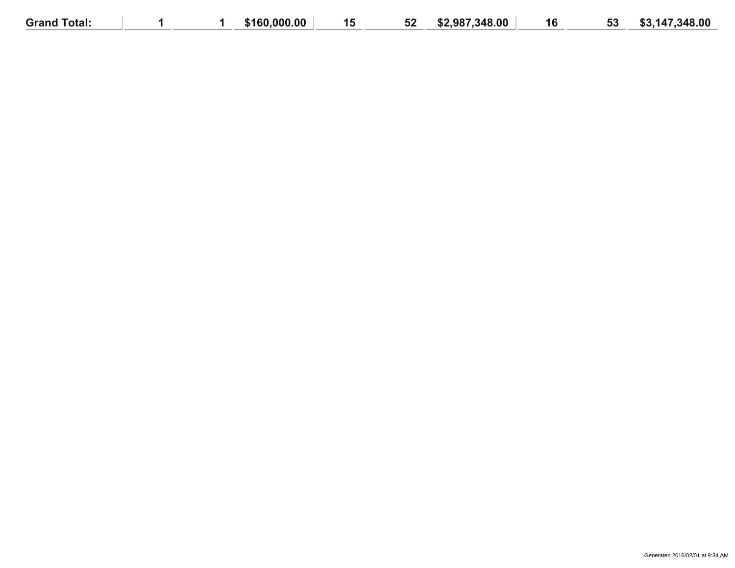| Grand<br>Total: |  | \$160,000,00 | 16 K<br>. J | จ∠ | \$2,987,348,00 | 16 | FО<br>აა | ,147,348.00<br>m n<br>. |
|-----------------|--|--------------|-------------|----|----------------|----|----------|-------------------------|
|                 |  |              |             |    |                |    |          |                         |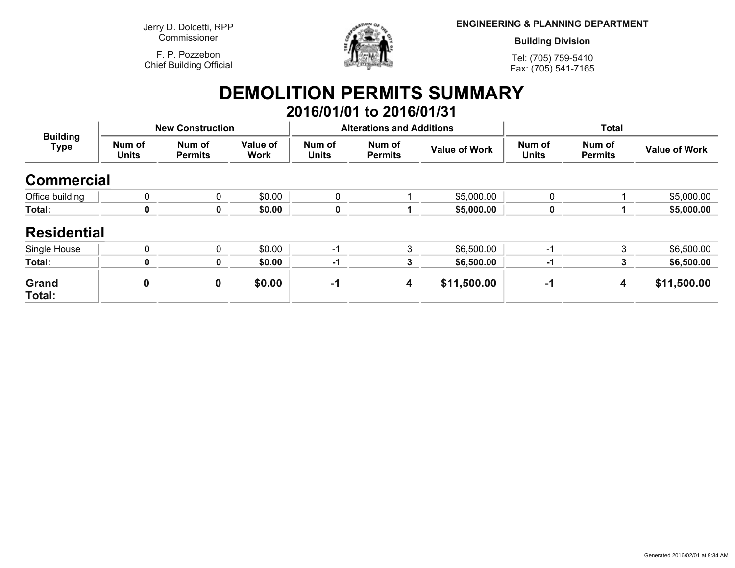**Jerry D. Dolcetti, RPPCommissioner**

**F. P. PozzebonChief Building Official**



**ENGINEERING & PLANNING DEPARTMENT**

**Building Division**

**Tel: (705) 759-5410Fax: (705) 541-7165**

## **DEMOLITION PERMITS SUMMARY 2016/01/01 to 2016/01/31**

| <b>Building</b><br><b>Type</b> | <b>New Construction</b> |                          |                         |                        | <b>Alterations and Additions</b> |                      | <b>Total</b>           |                          |                      |
|--------------------------------|-------------------------|--------------------------|-------------------------|------------------------|----------------------------------|----------------------|------------------------|--------------------------|----------------------|
|                                | Num of<br><b>Units</b>  | Num of<br><b>Permits</b> | Value of<br><b>Work</b> | Num of<br><b>Units</b> | Num of<br><b>Permits</b>         | <b>Value of Work</b> | Num of<br><b>Units</b> | Num of<br><b>Permits</b> | <b>Value of Work</b> |
| <b>Commercial</b>              |                         |                          |                         |                        |                                  |                      |                        |                          |                      |
| Office building                | $\mathbf{0}$            | 0                        | \$0.00                  | 0                      |                                  | \$5,000.00           | 0                      |                          | \$5,000.00           |
| Total:                         | 0                       | 0                        | \$0.00                  | 0                      |                                  | \$5,000.00           | 0                      |                          | \$5,000.00           |
| <b>Residential</b>             |                         |                          |                         |                        |                                  |                      |                        |                          |                      |
| Single House                   | $\mathbf{0}$            | 0                        | \$0.00                  | -1                     | 3                                | \$6,500.00           | $-1$                   | 3                        | \$6,500.00           |
| Total:                         | 0                       | 0                        | \$0.00                  | -1                     | 3                                | \$6,500.00           | -1                     |                          | \$6,500.00           |
| Grand<br>Total:                | $\boldsymbol{0}$        | $\boldsymbol{0}$         | \$0.00                  | -1                     | 4                                | \$11,500.00          | -1                     | 4                        | \$11,500.00          |